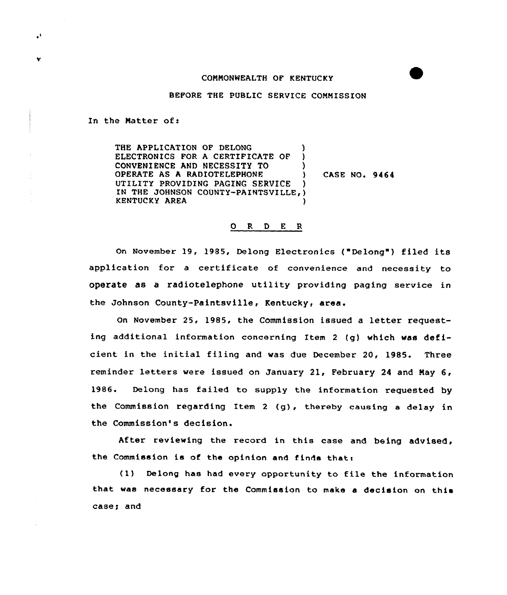## COMMONWEALTH OF KENTUCKY

## BEFORE THE PUBLIC SERVICE COMMISSION

In the Natter of:

 $\cdot$ 

٠

THE APPLICATION OF DELONG ELECTRONICS FOR A CERTIFICATE OF CONVENIENCE AND NECESSITY TO  $)$ OPERATE AS A RADIOTELEPHONE UTILITY PROVIDING PAGING SERVICE IN THE JOHNSON COUNTY-PAINTSVILLE, ) KENTUCKY AREA )

CASE NO. 9464

## 0 R <sup>D</sup> E R

On November 19, 1985, Delong Electronics ("Delong") filed its application for <sup>a</sup> certificate of convenience and necessity to operate as a radiotelephone utility providing paging service in the Johnson County-Paintsville, Kentucky, area.

On November 25, 1985, the Commission issued a letter requesting additional information concerning Item <sup>2</sup> (g) which was deficient in the initial filing and was due December 20, 1985. Three reminder letters were issued on January 21, February <sup>24</sup> and May 6, 1986. Delong has failed to supply the information requested by the Commission regarding Item 2 (g), thereby causing a delay in the Commission's decision.

After reviewing the record in this case and being advised, the Commission is of the opinion and finds that:

(1) Delong has had every opportunity to file the information that was necessary for the Commission to make <sup>a</sup> decision on this casey and